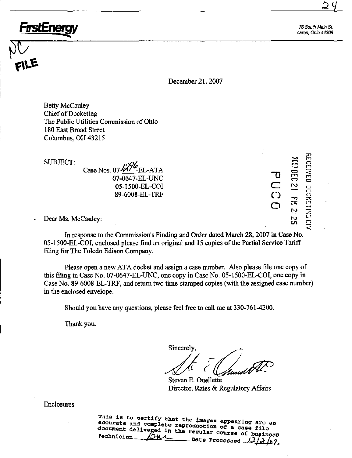76 South Main St. Akron, Ohio 44308

 $\cup$ 

l\*sj

:x) m o 1 1  $\leq$  $\dot{\Xi}$  $\dot{\circ}$ o

o  $\simeq$ 

 $\bf \Xi$  $\Xi$  $\bf{v}$ 

 $\mathbb{R}$ 

t o • • ro en

 $\overline{\phantom{a}}$ C)  $\tilde{\circ}$ 

^

December 21,2007

Betty McCauley Chief of Docketing The Public Utilities Commission of Ohio 180 East Broad Street Columbus, OH 43215

SUBJECT: Case Nos. 07 $\frac{\sqrt{276}}{\sqrt{5}}$ EL-ATA 07-0647-EL-UNC 05-1500-EL-COI

89-6008-EL-TRF

Dear Ms. McCauley:

FırstEnerg

In response to the Commission's Finding and Order dated March 28,2007 in Case No. 05-1500-EL-COI, enclosed please fmd an original and 15 copies of the Partial Service Tariff filing for The Toledo Edison Company.

Please open a new ATA docket and assign a case number. Also please file one copy of this filing in Case No. 07-0647-EL-UNC, one copy in Case No. 05-1500-EL-COI, one copy in Case No, 89-6008-EL-TRF, and return two time-stamped copies (with the assigned case number) in the enclosed envelope.

Should you have any questions, please feel free to call me at 330-761-4200.

Thank you.

Sincerely,

Steven E. Ouellette Director, Rates & Regulatory Affairs

Enclosures

This is to certify that the images appearing are an accurate and complete reproduction of a case file document delivered in the regular course of business rechnician  $\mathcal{L}^{\mathcal{H}}$ Date Processed  $\frac{\sqrt{J/\Im}}{g}$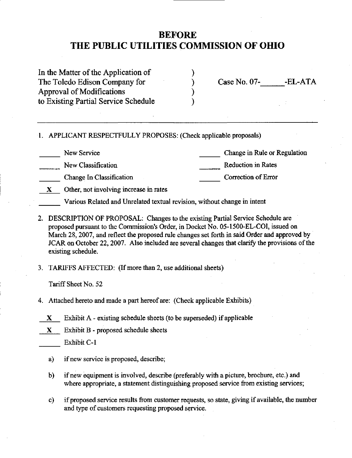# BEFORE THE PUBLIC UTILITIES COMMISSION OF OHIO

| In the Matter of the Application of  |
|--------------------------------------|
| The Toledo Edison Company for        |
| <b>Approval of Modifications</b>     |
| to Existing Partial Service Schedule |

Case No. 07-<br>-EL-ATA

1. APPLICANT RESPECTFULLY PROPOSES: (Check applicable proposals)

New Service

Change in Rule or Regulation

New Classification

Reduction in Rates

- Change In Classification
- Correction of Error
- X Other, not involving increase in rates
	- Various Related and Unrelated textual revision, without change in intent
- 2. DESCRIPTION OF PROPOSAL: Changes to the existing Partial Service Schedule are proposed pursuant to the Commission's Order, in Docket No. 05-1500-EL-COI, issued on March 28,2007, and reflect the proposed rule changes set forth in said Order and approved by JCAR on October 22, 2007. Also included are several changes that clarify the provisions of the existing schedule.
- 3. TARIFFS AFFECTED: (Ifmore than 2, use additional sheets)

Tariff Sheet No. 52

- 4. Attached hereto and made a part hereof are: (Check apphcable Exhibits)
	- $X$  Exhibit A existing schedule sheets (to be superseded) if applicable
- X Exhibit B proposed schedule sheets

Exhibit C-1

- a) if new service is proposed, describe;
- b) if new equipment is involved, describe (preferably with a picture, brochure, etc.) and where appropriate, a statement distinguishing proposed service from existing services;
- c) if proposed service results from customer requests, so state, giving if available, the number and type of customers requesting proposed service.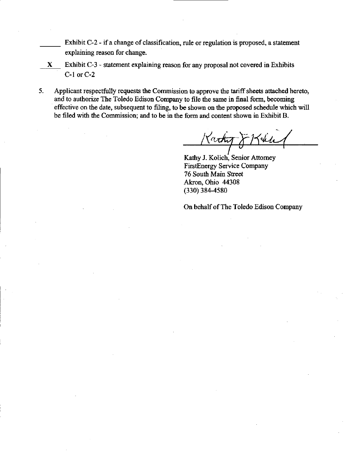Exhibit C-2 - if a change of classification, rule or regulation is proposed, a statement explaining reason for change.

- X Exhibit C-3 statement explaining reason for any proposal not covered in Exhibits C-1 or C-2
- 5. Applicant respectfully requests the Commission to approve the tariff sheets attached hereto, and to authorize The Toledo Edison Company to file the same in final form, becoming effective on the date, subsequent to filing, to be shown on the proposed schedule which will be filed with the Commission; and to be in the form and content shown in Exhibit B.

Karty

Kathy J. Kolich, Senior Attomey FirstEnergy Service Company 76 South Main Street Akron, Ohio 44308 (330) 384-4580

On behalf of The Toledo Edison Company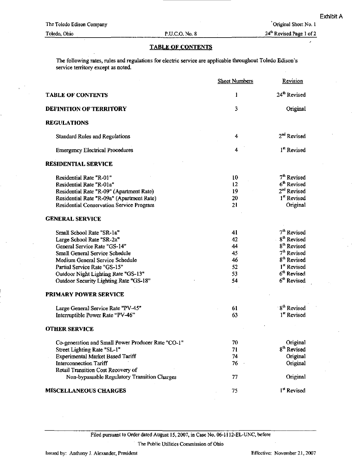Original Sheet No. 1

24<sup>th</sup> Revised Page 1 of 2

### TABLE OF CONTENTS

The following rates, rules and regulations for electric service are applicable throughout Toledo Edison's service territory except as noted.

|                                                    | <b>Sheet Numbers</b> | Revision                 |
|----------------------------------------------------|----------------------|--------------------------|
| <b>TABLE OF CONTENTS</b>                           | 1                    | 24 <sup>th</sup> Revised |
| <b>DEFINITION OF TERRITORY</b>                     | 3                    | Original                 |
| <b>REGULATIONS</b>                                 |                      |                          |
| <b>Standard Rules and Regulations</b>              | 4                    | 2 <sup>nd</sup> Revised  |
| <b>Emergency Electrical Procedures</b>             | 4                    | 1 <sup>st</sup> Revised  |
| <b>RESIDENTIAL SERVICE</b>                         |                      |                          |
| Residential Rate "R-01"                            | 10                   | 7 <sup>th</sup> Revised  |
| Residential Rate "R-01a"                           | 12                   | 6 <sup>th</sup> Revised  |
| Residential Rate "R-09" (Apartment Rate)           | 19                   | 2 <sup>nd</sup> Revised  |
| Residential Rate "R-09a" (Apartment Rate)          | 20                   | 1 <sup>st</sup> Revised  |
| Residential Conservation Service Program           | 21                   | Original                 |
| <b>GENERAL SERVICE</b>                             |                      |                          |
| Small School Rate "SR-1a"                          | 41                   | 7 <sup>th</sup> Revised  |
| Large School Rate "SR-2a"                          | 42                   | 8 <sup>th</sup> Revised  |
| General Service Rate "GS-14"                       | 44                   | 8 <sup>th</sup> Revised  |
| Small General Service Schedule                     | 45                   | 7 <sup>th</sup> Revised  |
| Medium General Service Schedule                    | 46                   | 8 <sup>th</sup> Revised  |
| Partial Service Rate "GS-15"                       | 52                   | 1 <sup>st</sup> Revised  |
| Outdoor Night Lighting Rate "GS-13"                | 53                   | 6 <sup>th</sup> Revised  |
| Outdoor Security Lighting Rate "GS-18"             | 54                   | 6 <sup>th</sup> Revised  |
| <b>PRIMARY POWER SERVICE</b>                       |                      |                          |
| Large General Service Rate "PV-45"                 | 61                   | 8 <sup>th</sup> Revised  |
| Interruptible Power Rate "PV-46"                   | 63                   | 1 <sup>st</sup> Revised  |
| <b>OTHER SERVICE</b>                               |                      |                          |
| Co-generation and Small Power Producer Rate "CO-1" | 70                   | Original                 |
| Street Lighting Rate "SL-1"                        | 71                   | 8 <sup>th</sup> Revised  |
| <b>Experimental Market Based Tariff</b>            | 74                   | Original                 |
| <b>Interconnection Tariff</b>                      | 76                   | Original                 |
| Retail Transition Cost Recovery of                 |                      |                          |
| Non-bypassable Regulatory Transition Charges       | 77                   | Original                 |
| <b>MISCELLANEOUS CHARGES</b>                       | 75                   | 1 <sup>st</sup> Revised  |

Filed pursuant to Order dated August 15,2007, in Case No. 06-1112-EL-UNC, before The Public Utilities Commission of Ohio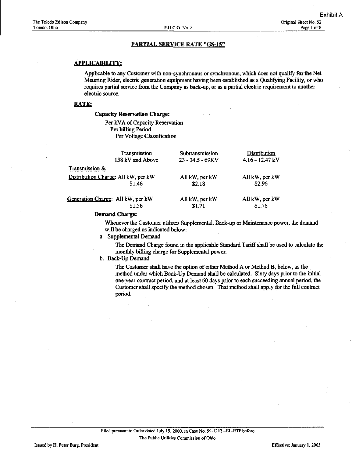#### APPLICABILITY:

Applicable to any Customer with non-synchronous or synchronous, which does not qualify for the Net Metering Rider, electric generation equipment having been established as a Qualifying Facility, or who requires partial service from the Company as back-up, or as a partial electric requirement to another electric source.

#### RATE:

### Capacity Reservation Charge:

Per kVA of Capacity Reservation Per billing Period Per Voltage Classification

| Transmission                        | Subtransmission     | Distribution      |
|-------------------------------------|---------------------|-------------------|
| 138 kV and Above                    | $23 - 34.5 - 69$ KV | $4.16 - 12.47$ kV |
| Transmission &                      |                     |                   |
| Distribution Charge: All kW, per kW | All kW, per kW      | All kW, per kW    |
| \$1.46                              | \$2.18              | \$2.96            |
| Generation Charge: All kW, per kW   | All kW, per kW      | All kW, per kW    |
| \$1.56                              | \$1.71              | \$1.76            |

### Demand Charge:

Whenever the Customer utilizes Supplemental, Back-up or Maintenance power, the demand wiU be charged as indicated below:

a. Supplemental Demand

The Demand Charge found in the applicable Standard Tariff shall be used to calculate the monthly billing charge for Supplemental power.

b. Back-Up Demand

The Customer shall have the option of either Method A or Method B, below, as the method under which Back-Up Demand shall be calculated. Sixty days prior to the initial one-year contract period, and at least 60 days prior to each succeeding annual period, the Customer shall specify the method chosen. That method shall apply for the full contract period.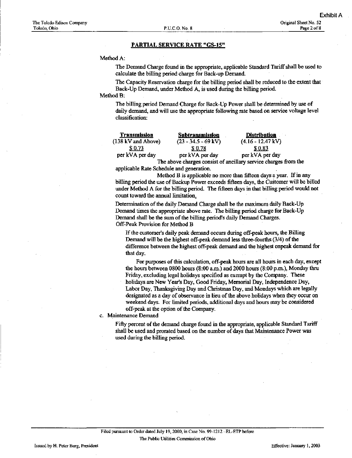#### Method A:

The Demand Charge found in the appropriate, applicable Standard Tariff shall be used to calculate the billing period charge for Back-up Demand.

The Capacity Reservation charge for the billing period shall be reduced to the extent that Back-Up Demand, under Method A, is used during the billing period.

### Method B:

The billing period Demand Charge for Back-Up Power shall be determined by use of daily demand, and will use the appropriate following rate based on service voltage level classification;

| Transmission       | Subtransmission       | <b>Distribution</b>                                             |
|--------------------|-----------------------|-----------------------------------------------------------------|
| (138 kV and Above) | $(23 - 34.5 - 69$ kV) | $(4.16 - 12.47 \text{ kV})$                                     |
| S 0.73             | S 0.78                | \$0.83                                                          |
| per kVA per day    | per kVA per day       | per kVA per day                                                 |
|                    |                       | The above charges consist of angillary service charges from the |

The above charges consist of ancillary service charges from the applicable Rate Schedule and generation.

Method B is applicable no more than fifteen days a year. If in any billing period the use of Backup Power exceeds fifteen days, the Customer will he billed under Method A for the billing period. The fifteen days in that billing period would not count toward the annual limitation.

Determination of the daily Demand Charge shall be the maximum daily Back-Up Demand times the appropriate above rate. The billing period charge for Back-Up Demand shall be the sum of the billing period's daily Demand Charges. Off-Peak Provision for Method B

If the customer's daily peak demand occurs during off-peak hours, the Billing Demand will be the highest off-peak demand less three-fourths (3/4) of the difference between the highest off-peak demand and the highest onpeak demand for that day.

For purposes of this calculation, off-peak hours are all hours in each day, except the hours between 0800 hours (8:00 a.m.) and 2000 hours (8:00 p.m.), Monday thru Friday, excluding legal holidays specified as exempt by the Company. These holidays are New Year's Day, Good Friday, Memorial Day, Independence Day, Labor Day, Thanksgiving Day and Christmas Day, and Mondays which are legally designated as a day of observance in lieu of the above holidays when they occur on weekend days. For limited periods, additional days and hours may be considered off-peak at the option of the Company,

c. Maintenance Demand

Fifty percent of the demand charge found in the appropriate, applicable Standard Tariff shall be used and prorated based on the number of days that Maintenance Power was used during the billing period.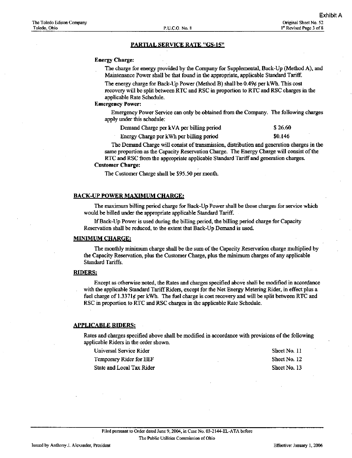#### Energy Charge:

The charge for energy provided by the Company for Supplemental, Back-Up (Method A), and Maintenance Power shall be that found in the appropriate, applicable Standard Tariff.

The energy charge for Back-Up Power (Method B) shall be  $0.49\phi$  per kWh. This cost recovery will be split between RTC and RSC in proportion to RTC and RSC charges in the applicable Rate Schedule.

#### Emergency Power:

Emergency Power Service can only be obtained from the Company. The following charges apply under this schedule:

| Demand Charge per kVA per billing period | \$26.60 |
|------------------------------------------|---------|
|------------------------------------------|---------|

Energy Charge per kWh per billing period \$0.146

The Demand Charge will consist of transmission, distribution and generation charges in the same proportion as the Capacity Reservation Charge. The Energy Charge will consist of the RTC and RSC from the appropriate applicable Standard Tariff and generation charges.

#### Customer Charge:

The Customer Charge shall be \$95.50 per month.

#### BACK-UP POWER MAXIMUM CHARGE:

The maximiun billing period charge for Back-Up Power shall be those charges for service which would be billed imder the appropriate applicable Standard Tariff.

If Back-Up Power is used during the billing period, the billing period charge for Capacity Reservation shall be reduced, to the extent that Back-Up Demand is used.

### MINIMUM CHARGE:

The monthly minimum charge shall be the sum of the Capacity Reservation charge muhiplied by the Capacity Reservation, plus the Customer Charge, plus the minimum charges of any applicable Standard Tariffs.

#### RIDERS:

Except as otherwise noted, the Rates and charges specified above shall be modified in accordance with the applicable Standard Tariff Riders, except for the Net Energy Metering Rider, in effect plus a fuel charge of 1.3371 $\epsilon$  per kWh. The fuel charge is cost recovery and will be split between RTC and RSC in proportion to RTC and RSC charges in the applicable Rate Schedule.

#### APPLICABLE RIDERS:

Rates and charges specified above shall be modified in accordance with provisions of the following applicable Riders in the order shovm.

Universal Service Rider Sheet No. 11 Temporary Rider for EEF Sheet No. 12

State and Local Tax Rider Sheet No. 13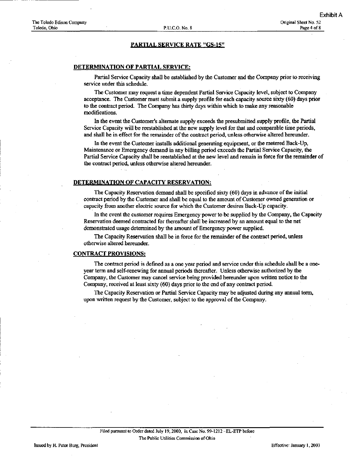#### DETERMINATION OF PARTIAL SERVICE:

Partial Service Capacity shall be established by the Customer and the Company prior to receiving service under this schedule.

The Customer may request a time dependent Partial Service Capacity level, subject to Company acceptance. The Customer must submit a supply profile for each edacity source sixty (60) days prior to the contract period. The Company has thirty days within which to make any reasonable modifications.

In the event the Customer's alternate supply exceeds the presubmitted supply profile, the Partial Service Capacity will be reestablished at the new supply level for that and comparable time periods, and shall he in efifect for the remainder of the contract period, unless otherwise altered hereunder.

In the event the Customer installs additional generating equipment, or the metered Back-Up, Maintenance or Emergency demand in any billing period exceeds the Partial Service Capacity, the Partial Service Capacity shall be reestablished at the new level and remain in force for the remainder of the contract period, imless otherwise altered hereunder.

#### DETERMINATION OF CAPACITY RESERVATION:

The Capacity Reservation demand shall be specified sixty (60) days in advance of the mitial contract period by the Customer and shall be equal to the amount of Customer owned generation or capacity from another electric source for which the Customer desires Back-Up capacity.

In the event the customer requires Emergency power to be supplied by the Company, the Capacity Reservation deemed contracted for thereafter shall be increased by an amount equal to the net demonstrated usage determined by the amount of Emergency power supplied.

The Capacity Reservation shall be in force for the remainder of the contract period, unless otherwise altered hereunder.

#### CONTRACT PROVISIONS:

The contract period is defined as a one year period and service under this schedule shall be a oneyear term and self-renewing for annual periods thereafter. Unless otherwise authorized by the Company, the Customer may cancel service being provided hereunder upon written notice to the Company, received at least sixty (60) days prior to the end of any contract period.

The Capacity Reservation or Partial Service Capacity may be adjusted during any annual term, upon written request by the Customer, subject to the approval of the Company,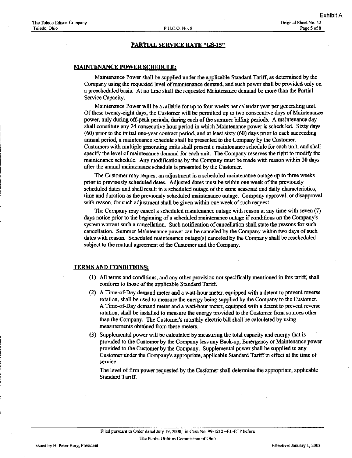#### MAINTENANCE POWER SCHEDULE:

Maintenance Power shall be supplied under the applicable Standard Tariff, as determined by the Company using the requested level of maintenance demand, and such power shall be provided only on a prescheduled basis. At no time shall the requested Maintenance demand be more than the Partial Service Capacity.

Maintenance Power will be available for up to four weeks per calendar year per generating unit. Of these twenty-eight days, the Customer will be permitted up to two consecutive days of Maintenance power, only during off-peak periods, during each of the summer billing periods. A maintenance day shall constitute any 24 consecutive hour period in which Maintenance power is scheduled. Sixty days (60) prior to the initial one-year contract period, and at least sixty (60) days prior to each succeeding annual period, a maintenance schedule shall be presented to the Company by the Customer. Customers with multiple generating units shall present a maintenance schedule for each unit, and shall specify the level of maintenance demand for each unit. The Company reserves the right to modify the maintenance schedule. Any modifications by the Company must be made with reason within 30 days after the annual maintenance schedule is presented by the Customer.

The Customer may request an adjustment in a scheduled maintenance outage up to three weeks prior to previously scheduled dates. Adjusted dates must be within one week of the previously scheduled dates and shall result in a scheduled outage of the same seasonal and daily characteristics, time and duration as the previously scheduled maintenance outage. Company approval, or disapproval with reason, for such adjustment shall be given within one week of such request.

The Company may cancel a scheduled mamtenance outage with reason at any time with seven (7) days notice prior to the beginning of a scheduled maintenance outage if conditions on the Company's system warrant such a cancellation. Such notification of cancellation shall state the reasons for such cancellation. Summer Maintenance power can be canceled by the Company within two days of such dates with reason. Scheduled maintenance outage(s) canceled by the Company shall be rescheduled subject to the mutual agreement of the Customer and the Company.

#### TERMS AND CONDITIONS:

- (1) All terms and conditions, and any other provision not specifically mentioned in this tariff, shall conform to those of the applicable Standard Tariff.
- (2) A Time-of-Day demand meter and a watt-hour meter, equipped with a detent to prevent reverse rotation, shall be used to measure the energy being supplied by the Company to the Customer. A Time-of-Day demand meter and a watt-hour meter, equipped with a detent to prevent reverse rotation, shall be installed to measure the energy provided to the Customer from sources other than the Company. The Customer's monthly electric bill shall be calculated by using measurements obtained from these meters.
- (3) Supplemental power will be calculated by measuring the total capacity and energy that is provided to the Customer by the Company less any Back-up, Emergency or Maintenance power provided to the Customer by the Company. Supplemental power shall be supplied to any Customer under the Company's appropriate, applicable Standard Tariff in effect at the time of service.

The level of frnn power requested by the Customer shall determine the appropriate, applicable Standard Tariff.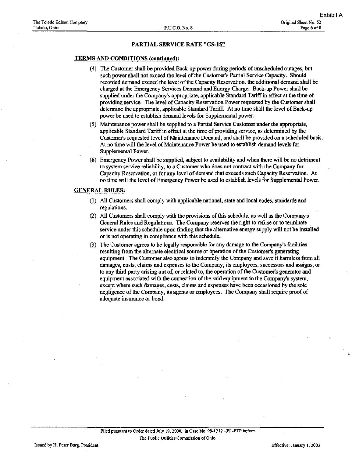#### TERMS AND CONDITIONS (continued):

- (4) The Customer shall be provided Back-up power during periods of unscheduled outages, but such power shall not exceed the level of the Customer's Partial Service Capacity. Should recorded demand exceed the level of the Capacity Reservation, the additional demand shall be charged at the Emergency Services Demand and Energy Charge. Back-up Power shall be supplied under the Company's appropriate, applicable Standard Tariff in effect at the time of providing service. The level of Capacity Reservation Power requested by the Customer shall determine the appropriate, applicable Standard Tariff At no time shall the level of Back-up power be used to establish demand levels for Supplemental power.
- (5) Maintenance power shall be supplied to a Partial Service Customer under the appropriate, applicable Standard Tariff in effect at the time of providing service, as determined by the Customer's requested level of Maintenance Demand, and shall be provided on a scheduled basis. At no time will the level of Maintenance Power he used to establish demand levels for Supplemental Power.
- (6) Emergency Power shall be supplied, subject to availability and when there will be no detriment to system service reliability, to a Customer who does not contract with the Company for Capacity Reservation, or for any level of demand that exceeds such Capacity Reservation. At no time will the level of Emergency Power be used to establish levels for Supplemental Power.

### GENERAL RULES:

- (1) All Customers shall comply with applicable national, state and local codes, standards and regulations.
- (2) All Customers shall comply with the provisions of this schedule, as well as the Company's General Rules and Regulations. The Company reserves the right to refuse or to terminate service under this schedule upon fmding that the alternative energy supply will not be installed or is not operating in compliance with this schedule.
- (3) The Customer agrees to be legally responsible for any damage to the Company's facilities resulting from the alternate electrical source or operation of the Customer's generating equipment. The Customer also agrees to indemnify the Company and save it harmless from all damages, costs, claims and expenses to the Company, its employees, successors and assigns, or to any third party arising out of, or related to, the operation of the Customer's generator and equipment associated with the connection of the said equipment to the Company's system, except where such damages, costs, claims and expenses have been occasioned by the sole negligence of the Company, its agents or employees. The Company shall require proof of adequate insurance or bond.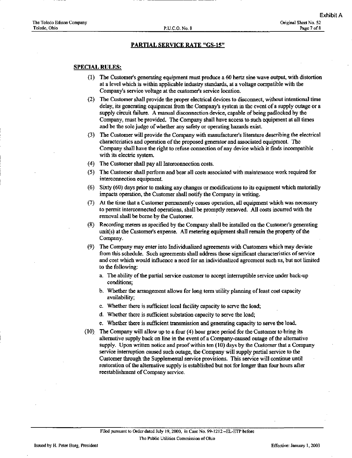### SPECIAL RULES:

- (1) The Customer's generating equipment must produce a 60 hertz sine wave output, with distortion at a level which is within applicable industry standards, at a voltage compatible with the Company's service voltage at the customer's service location.
- (2) The Customer shall provide the proper electrical devices to disconnect, without intentional time delay, its generating equipment from the Company's system in the event of a supply outage or a supply circuit failure. A manual disconnection device, capable of being padlocked by the Company, must be provided. The Company shall have access to such equipment at all times and be the sole judge of whether any safety or operating hazards exist.
- (3) The Customer will provide the Company with manufacturer's literature describing the electrical characteristics and operation of the proposed generator and associated equipment. The Company shall have the right to refuse connection of any device which it finds incompatible with its electric system.
- (4) The Customer shall pay all Interconnection costs.
- (5) The Customer shall perform and bear all costs associated with maintenance work required for interconnection equipment.
- (6) Sixty (60) days prior to making any changes or modifications to its equipment which materially impacts operation, the Customer shall notify the Company in writing.
- (7) At the time that a Customer permanently ceases operation, all equipment which was necessary to permit interconnected operations, shall be promptiy removed. All costs incurred with the removal shall be borne by the Customer.
- (8) Recording meters as specified by the Company shall be installed on the Customer's generating unit(s) at the Customer's expense. All metering equipment shall remain the property of the Company.
- (9) The Company may enter into Individualized agreements with Customers which may deviate from this schedule. Such agreements shall address those significant characteristics of service and cost which would influence a need for an individualized agreement such as, but not limited to the following:
	- a. The ability of the partial service customer to accept intermptible service under back-up conditions;
	- b. Whether the arrangement allows for long term utility planning of least cost capacity availability;
	- c. Whether there is sufficient local facility capacity to serve the load;
	- d. Whether there is sufficient substation capacity to serve the load;
	- e. Whether there is sufficient transmission and generating capacity to serve the load.
- (10) The Company will allow up to a four (4) hour grace period for the Customer to bring its alternative supply back on line in the event of a Company-caused outage of the alternative supply. Upon written notice and proof within ten (10) days by the Customer that a Company service intermption caused such outage, the Company will supply partial service to the Customer through the Supplemental service provisions. This service will continue until restoration of the alternative supply is established but not for longer than four hours after reestablishment of Company service.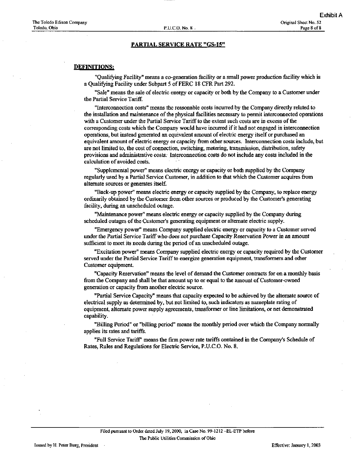### DEFINITIONS:

"Qualifying Facility" means a co-generation facility or a small power production facility which is a Qualifying Facility under Subpart 5 of FERC 18 CFR Part 292.

"Sale" means the sale of electric energy or capacity or both by the Company to a Customer under the Partial Service Tariff.

"Interconnection costs" means the reasonable costs incurred by the Company directly related to the installation and maintenance of the physical facilities necessary to permit interconnected operations with a Customer under the Partial Service Tariff to the extent such costs are in excess of the corresponding costs which the Company would have incurred if it had not engaged in interconnection operations, but instead generated an equivalent amount of electric energy itself or purchased an equivalent amount of electric energy or capacity from other sources. Interconnection costs include, but are not limited to, the cost of connection, switching, metering, transmission, distribution, safety provisions and administrative costs; Interconnection costs do not include any costs included in the calculation of avoided costs.

"Supplemental power" means electric energy or capacity or both supplied by the Company regularly used by a Partial Service Customer, in addition to that which the Customer acquires from altemate sources or generates itself

"Back-up power" means electric energy or capacity supphed by the Company, to replace energy ordinarily obtained by the Customer from other sources or produced by the Customer's generating facility, during an unscheduled outage.

"Maintenance power" means electric energy or capacity supplied by the Company during scheduled outages of the Customer's generating equipment or altemate electric supply.

"Emergency power" means Company supplied electric energy or capacity to a Customer served under the Partial Service Tariff who does not purchase Capacity Reservation Power in an amount sufficient to meet its needs during the period of an unscheduled outage.

"Excitation power" means Company supplied electric energy or capacity required by the Customer served under the Partial Service Tariff to energize generation equipment, transformers and other Customer equipment.

"Capacity Reservation" means the level of demand the Customer contracts for on a monthly basis from the Company and shall be that amount up to or equal to the amount of Customer-owned generation or capacity from another electric source.

"Partial Service Capacity" means that capacity expected to be achieved by the alternate source of electrical supply as determined by, but not limited to, such indicators as nameplate rating of equipment, altemate power supply agreements, transformer or line limitations, or net demonstrated capability.

"Billing Period" or "bilhng period" means the monthly period over which the Company normally applies its rates and tariffs.

"Full Service Tariff' means the firm power rate tariffs contained in the Company's Schedule of Rates, Rules and Regulations for Electric Service, P.U.C.O. No. 8.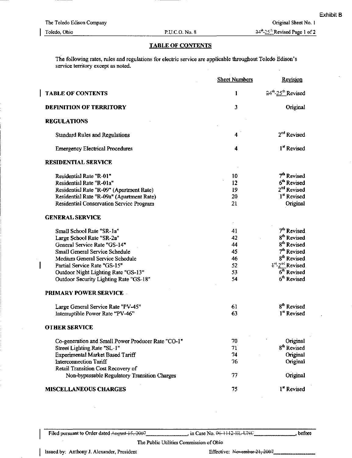### TABLE OF CONTENTS

The following rates, rules and regulations for electric service are applicable throughout Toledo Edison's service territory except as noted.

|                                                    | <b>Sheet Numbers</b> | Revision                                   |
|----------------------------------------------------|----------------------|--------------------------------------------|
| <b>TABLE OF CONTENTS</b>                           | 1                    | 24 <sup>th</sup> -25 <sup>th</sup> Revised |
| <b>DEFINITION OF TERRITORY</b>                     | 3                    | Original                                   |
| <b>REGULATIONS</b>                                 |                      |                                            |
| <b>Standard Rules and Regulations</b>              | 4                    | 2 <sup>nd</sup> Revised                    |
| <b>Emergency Electrical Procedures</b>             | 4                    | 1 <sup>st</sup> Revised                    |
| <b>RESIDENTIAL SERVICE</b>                         |                      |                                            |
| Residential Rate "R-01"                            | 10                   | 7 <sup>th</sup> Revised                    |
| Residential Rate "R-01a"                           | 12                   | 6 <sup>th</sup> Revised                    |
| Residential Rate "R-09" (Apartment Rate)           | 19                   | 2 <sup>nd</sup> Revised                    |
| Residential Rate "R-09a" (Apartment Rate)          | 20                   | 1 <sup>st</sup> Revised                    |
| Residential Conservation Service Program           | 21                   | Original                                   |
| <b>GENERAL SERVICE</b>                             |                      |                                            |
| Small School Rate "SR-1a"                          | 41                   | 7 <sup>th</sup> Revised                    |
| Large School Rate "SR-2a"                          | 42                   | 8 <sup>th</sup> Revised                    |
| General Service Rate "GS-14"                       | 44                   | 8 <sup>th</sup> Revised                    |
| Small General Service Schedule                     | 45                   | 7 <sup>th</sup> Revised                    |
| Medium General Service Schedule                    | 46                   | 8 <sup>th</sup> Revised                    |
| Partial Service Rate "GS-15"                       | 52                   | 4 <sup>%</sup> -2 <sup>%</sup> Revised     |
| Outdoor Night Lighting Rate "GS-13"                | 53                   | $6th$ Revised                              |
| Outdoor Security Lighting Rate "GS-18"             | 54                   | 6 <sup>th</sup> Revised                    |
| <b>PRIMARY POWER SERVICE</b>                       |                      |                                            |
| Large General Service Rate "PV-45"                 | 61                   | 8 <sup>th</sup> Revised                    |
| Interruptible Power Rate "PV-46"                   | 63                   | 1 <sup>st</sup> Revised                    |
| <b>OTHER SERVICE</b>                               |                      |                                            |
| Co-generation and Small Power Producer Rate "CO-1" | 70                   | Original                                   |
| Street Lighting Rate "SL-1"                        | 71                   | 8 <sup>th</sup> Revised                    |
| Experimental Market Based Tariff                   | 74                   | Original                                   |
| Interconnection Tariff                             | 76                   | Original                                   |
| Retail Transition Cost Recovery of                 |                      |                                            |
| Non-bypassable Regulatory Transition Charges       | 77                   | Original                                   |
| <b>MISCELLANEOUS CHARGES</b>                       | 75                   | 1 <sup>st</sup> Revised                    |

before

#### Issued by: Anthony J. Alexander, President Effective: November 21, 2007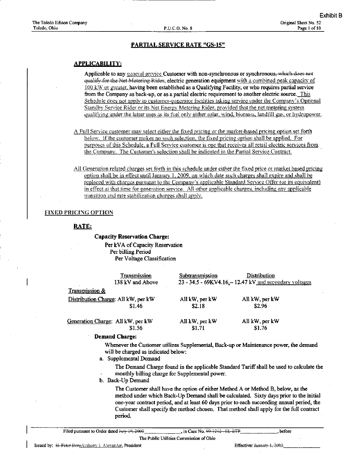### APPLICABILITY:

Applicable to any general service Customer with non-synchronous or synchronous, which does not equalify-for-the-Net-Motering-Rider, electric generation equipment with a combined peak capacity of  $100 \, \text{kW}$  or greater, having been established as a Qualifying Facility, or who requires partial service from the Company as back-up, or as a partial electric requirement to another electric source. This Schedule does not apply to customer-generator facilities taking service under the Company's Optional Standby Service Rider or its Net Energy Metering Rider, provided that the net metering system. qualifying under the latter uses as its fuel only either solar, wind, biomass, landfill gas, or hydropower.

- A. Full Service customer may select either the fixed pricing or the market-based pricing option set forth below. If the customer makes no such selection, the fixed pricing option shall be applied. For purposes of this Schedule, a Full Service customer is one that receives all retail electric services from the Company. The Customer's selection shall be indicated in the Partial Service Contract.
- All Generation related charges set forth in this schedule under either the fixed price or market based pricing option shall be in effect until January 1, 2009, on which date such charges shall expire and shall be replaced with charges pursuant to the Company's applicable Standard Service Offer (or its equivalent) in effect at that time for generation service. All other applicable charges, including any applicable transition and rate stabilization charges shall apply.

### FIXED rHICJNC OPTION

### RATE:

#### Capacity Reservation Charge:

Per kVA of Capacity Reservation Per billing Period Per Voltage Classification

| <b>Transmission</b><br>138 kV and Above | Subtransmission | <b>Distribution</b><br>23 - 34.5 - 69KV4.16. - 12.47 kV and secondary voltages |
|-----------------------------------------|-----------------|--------------------------------------------------------------------------------|
| <b>Transmission &amp;</b>               |                 |                                                                                |
| Distribution Charge: All kW, per kW     | All kW, per kW  | All kW, per kW                                                                 |
| \$1.46                                  | \$2.18          | \$2.96                                                                         |
| Generation Charge: All kW, per kW       | All kW, per kW  | All kW, per kW                                                                 |
| \$1.56                                  | \$1.71          | \$1.76                                                                         |

#### Demand Charge:

Whenever the Customer utilizes Supplemental, Back-up or Maintenance power, tbe demand will be charged as indicated below:

a. Supplemental Demand

The Demand Charge found in the applicable Standard Tariff shall be used to calculate the monthly billing charge for Supplemental power.

b. Back-Up Demand

The Customer shall have the option of either Method A or Method B, below, as the method under which Back-Up Demand shall be calculated. Sixty days prior to the initial one-year contract period, and at least 60 days prior to each succeeding annual period, the Customer shall specify the method chosen. That method shall apply for the full contract period.

Filed pursuant to Order dated  $\frac{1}{2000}$  ,  $\frac{10}{2000}$  , in Case No. 99 1212 BL BTP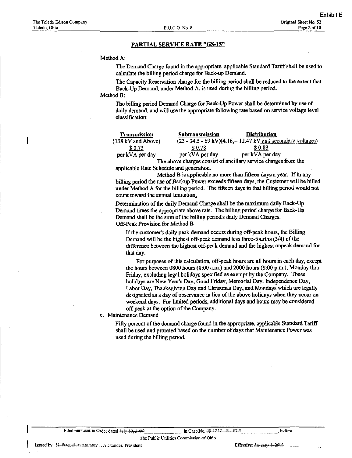#### Method A:

The Demand Charge found in the appropriate, applicable Standard Tariff shall be used to calculate the billing period charge for Back-up Demand.

The Capacity Reservation charge for the billing period shall be reduced to the extent that Back-Up Demand, imder Method A, is used during the billing period.

### Method B:

The billing period Demand Charge for Back-Up Power shall be determined by use of daily demand, and will use the appropriate following rate based on service voltage level classification:

| Transmission       | <b>Subtransmission</b> | <b>Distribution</b>                                                           |
|--------------------|------------------------|-------------------------------------------------------------------------------|
| (138 kV and Above) |                        | $(23 - 34.5 - 69 \text{ kV})(4.16 - 12.47 \text{ kV}$ and secondary voltages) |
| \$0.73             | \$0.78                 | \$ 0.83                                                                       |
| per kVA per day    | per kVA per day        | per kVA per day                                                               |
|                    |                        | The state showers consist of analitary consists showers from the              |

The above charges consist of ancillary service charges from the applicable Rate Schedule and generation.

Method B is applicable no more than fifteen days a year. If in any billing period the use of Backup Power exceeds fifteen days, the Customer will be billed under Method A for the billing period. The fifteen days in that billing period would not count toward the annual limitation.

Determination of the daily Demand Charge shall be the maximum daily Back-Up Demand times the appropriate above rate. The billing period charge for Back-Up Demand shall be the sum of the billing period's daily Demand Charges. Off-Peak Provision for Method B

If the customer's daily peak demand occurs during off-peak hours, the Billing Demand will be the highest off-peak demand less three-fourths (3/4) of tbe difference between the highest off-peak demand and the highest onpeak demand for that day.

For purposes of this calculation, off-peak hours are all hours in each day, except the hours between 0800 hours (8:00 a.m.) and 2000 hours (8:00 p.m.), Monday thru Friday, excluding legal holidays specified as exempt by the Company. These holidays are New Year's Day, Good Friday, Memorial Day, Independence Day, Labor Day, Thanksgiving Day and Christmas Day, and Mondays which are legally designated as a day of observance in lieu of the above holidays when they occur on weekend days. For limited periods, additional days and hours may be considered off-peak at the option of the Company,

c. Maintenance Demand

Fifty percent of the demand charge found in the appropriate, applicable Standard Tariff shall be used and prorated based on the niunber of days that Maintenance Power was used during the billing period.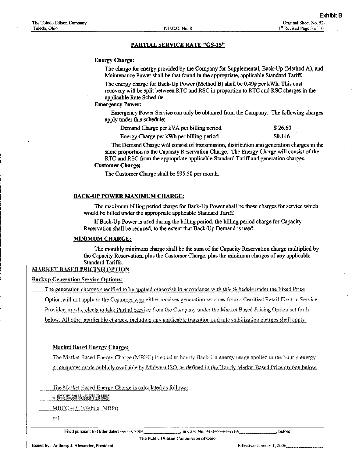#### Energy Charge:

The charge for energy provided by the Company for Supplemental, Back-Up (Method A), and Maintenance Power shall be that found in the appropriate, applicable Standard Tariff.

The energy charge for Back-Up Power (Method B) shall be 0.49¢ per kWh. This cost recovery will be split between RTC and RSC in proportion to RTC and RSC charges in the applicable Rate Schedule.

### Emergency Power:

Emergency Power Service can only be obtained from the Company. The following charges apply under this schedule:

| Demand Charge per kVA per billing period | \$26.60       |
|------------------------------------------|---------------|
| Energy Charge per kWh per billing period | <b>SO.146</b> |

The Demand Charge will consist of transmission, distribution and generation charges in the same proportion as the Capacity Reservation Charge. The Energy Charge will consist of the RTC and RSC from the appropriate applicable Standard Tariff and generation charges.

#### Customer Charge:

The Customer Charge shall be \$95.50 per month.

### BACK-UP POWER MAXIMUM CHARGE:

The maximum billing period charge for Back-Up Power shall be those charges for service which would be billed under the appropriate applicable Standard Tariff.

If Back-Up Power is used during the billing period, the billing period charge for Capacity Reservation shall be reduced, to the extent that Back-Up Demand is used.

### MINIMUM CHARGE:

The monthly minimum charge shall be the sum of the Capacity Reservation charge multiplied by the Capacity Reservation, plus the Customer Charge, plus the minimum charges of any applicable Standard Tariffs.

### MARKET BASED PRICING OFTION

**Backup Generation Service Options:** 

The generation charges specified to be applied otherwise in accordance with this Schedule under the Fixed Price

Option, will not apply to the Customer who either receives generation services from a Certified Retail Electric Service

Provider, or who elects to take Partial Service from the Company under the Market Based Pricing Option set forth

below. All other applicable charges, including any applicable transition and rate stabilization charges shall apply.

### Market Based Energy Charger

The Market Based Energy Charge (MBEC) is equal to hourly Back-Up energy usage applied to the hourly energy price quotes made publicly available by Midwest ISO, as defined in the Hourly Market Based Price section below.

The Market Based Energy Charge is calculated as follows:

<u>n IGY will format these</u>

 $MBEC = \sum (kWhtx MBPt)$ 

 $t=1$ 

Filed pursuant to Order dated  $\frac{1}{2}$  .  $\frac{2004}{1}$  . in Case No.  $\frac{03-3444+11}{12}$ . A $\frac{1}{2}$ , before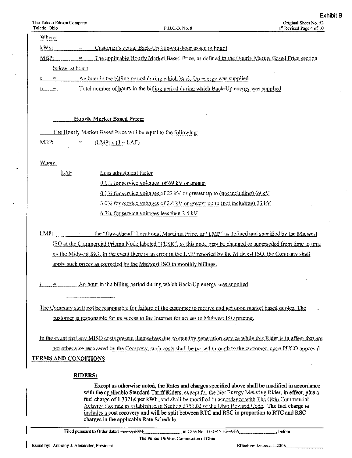$\ddot{\phantom{0}}$ 

| Where:                                                                                                                                                                                                      |
|-------------------------------------------------------------------------------------------------------------------------------------------------------------------------------------------------------------|
| kWht<br>Customer's actual Back-Up kilowatt-hour usage in hour t<br>÷.                                                                                                                                       |
| MBPt<br><u>The applicable Hourly Market Based Price, as defined in the Hourly Market Based Price section</u><br>um.                                                                                         |
| below, at hourt                                                                                                                                                                                             |
| An hour in the billing period during which Back-Up energy was supplied<br>$\equiv$                                                                                                                          |
| <u>Total number of hours in the billing period during which Back-Up energy was supplied</u><br>n                                                                                                            |
|                                                                                                                                                                                                             |
|                                                                                                                                                                                                             |
| <b>Hourly Market Based Price:</b>                                                                                                                                                                           |
| The Hourly Market Based Price will be equal to the following:                                                                                                                                               |
| MBPi<br>$(LMP(x)) + LAF$<br>æ                                                                                                                                                                               |
|                                                                                                                                                                                                             |
| Where:                                                                                                                                                                                                      |
| LAF<br>Loss adjustment factor                                                                                                                                                                               |
| $0.0\%$ for service voltages of 69 kV or greater                                                                                                                                                            |
| 0.1% for service voltages of 23 kV or greater up to (not including) 69 kV                                                                                                                                   |
| $3.0\%$ for service voltages of 2.4 kV or greater up to (not including) 23 kV                                                                                                                               |
| $6.7\%$ for service voltages less than 2.4 kV                                                                                                                                                               |
| LMPt<br>the "Day-Ahead" Locational Marginal Price, or "LMP" as defined and specified by the Midwest<br>÷                                                                                                    |
| ISO at the Commercial Pricing Node labeled "FESR", as this node may be changed or superseded from time to time                                                                                              |
| by the Midwest ISO. In the event there is an error in the LMP reported by the Midwest ISO, the Company shall                                                                                                |
| apply such prices as corrected by the Midwest ISO in monthly billings.                                                                                                                                      |
|                                                                                                                                                                                                             |
| An hour in the billing period during which Back-Up energy was supplied<br>$\frac{1}{2}$                                                                                                                     |
|                                                                                                                                                                                                             |
| The Company shall not be responsible for failure of the customer to receive and act upon market based quotes. The                                                                                           |
| customer is responsible for its access to the Internet for access to Midwest ISO pricing.                                                                                                                   |
|                                                                                                                                                                                                             |
| In the event that any MISO costs present themselves due to standby generation service while this Rider is in effect that are                                                                                |
| not otherwise recovered by the Company, such costs shall be passed through to the customer, upon PUCO approval.                                                                                             |
| <u>TERMS AND CONDITIONS</u>                                                                                                                                                                                 |
|                                                                                                                                                                                                             |
| <b>RIDERS:</b>                                                                                                                                                                                              |
| Except as otherwise noted, the Rates and charges specified above shall be modified in accordance<br>with the applicable Standard Tariff Riders, except for the Net Energy Metering Rider, in effect, plus a |
| fuel charge of 1.3371¢ per kWh, and shall be modified in accordance with The Ohio Commercial                                                                                                                |
| Activity Tax rate as established in Section 5751.02 of the Ohio Revised Code. The fuel charge is<br>inchides a cost recovery and will be split between RTC and RSC in proportion to RTC and RSC             |
| charges in the applicable Rate Schedule.                                                                                                                                                                    |

I Filed pursuant to Order dated  $\frac{1}{2004}$ , in Case No.  $\frac{1}{24444}$ ,  $\frac{1}{444}$ ,  $\frac{1}{444}$ ,  $\frac{1}{444}$ ,  $\frac{1}{444}$ ,  $\frac{1}{444}$ ,  $\frac{1}{444}$ ,  $\frac{1}{444}$ ,  $\frac{1}{444}$ ,  $\frac{1}{444}$ ,  $\frac{1}{444}$ ,  $\frac{1}{444}$ ,  $\frac{1}{444}$ ,  $\frac{1}{444}$ ,  $\frac{1}{444}$ ,  $\frac{1}{444}$ 

The Public Utilities Commission of Ohio

Effective:  $\frac{1}{2000}$ .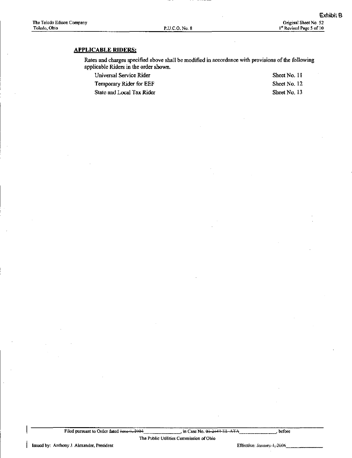## APPLICABLE RIDERS:

Rates and charges specified above shall be modified in accordance with provisions of the following applicable Riders in the order shown.

Universal Service Rider Sheet No. 11

Temporary Rider for EEF Sheet No. 12

State and Local Tax Rider Sheet No. 13

I Filed pursuant to Order dated <del>June 2.2004</del>, in Case No. 03-2444-EL ATA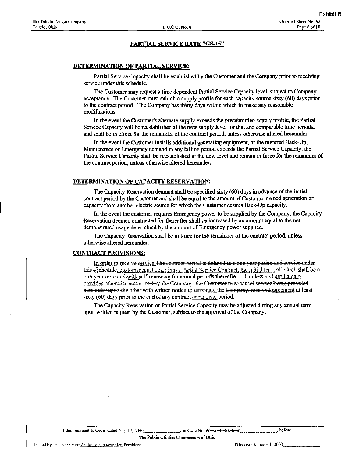#### DETERMINATION OF PARTIAL SERVICE:

Partial Service Capacity shall be established by the Customer and the Company prior to receiving service under this schedule.

The Customer may request a time dependent Partial Service Capacity level, subject to Company acceptance. The Customer must submit a supply profile for each capacity source sixty (60) days prior to the contract period. The Company has thirty days within which to make any reasonable modifications.

In tbe event the Customer's alternate supply exceeds the presubmitted supply profile, the Partial Service Capacity will be reestablished at the new supply level for that and comparable time periods, and shall be in effect for the remainder of the contract period, unless otherwise altered hereunder.

In the event the Customer installs additional generatuig equipment, or the metered Back-Up, Maintenance or Emergency demand in any billing period exceeds the Partial Service Capacity, the Partial Service Capacity shall be reestablished at the new level and remain in force for the remainder of the contract period, unless otherwise altered hereunder.

#### DETERMINATION OF CAPACITY RESERVATION:

The Capacity Reservation demand shall be specified sixty (60) days m advance of the initial contract period by the Customer and shall be equal to the amount of Customer owned generation or capacity from another electric source for which the Customer desires Back-Up capacity.

In the event the customer requires Emergency power to be supplied by the Company, the Capacity Reservation deemed contracted for thereafter shall be increased by an amount equal to the net demonstrated usage determined by the amount of Emergency power supphed.

The Capacity Reservation shall be in force for the remainder of the contract period, unless otherwise altered hereunder.

### CONTRACT PROVISIONS:

In order to receive service The contract period is defined as a one year period and service under this  $\epsilon$ Schedule, customer must enter into a Partial Service Contract, the initial term of which shall be a one-year term and with self-renewing for annual periods thereafter—Jtiunless and until a party provides otherwise authorized by the Company, the Customer may cancel service being provided here under upon the other with written notice to terminate the <del>Company, receivedagies ment</del> at least sixty (60) days prior to the end of any contract or renewal period.

The Capacity Reservation or Partial Service Capacity may be adjusted during any annual term, upon written request by the Customer, subject to the approval of the Company.

Filed pursuant to Order dated July  $\downarrow$ 0, 3008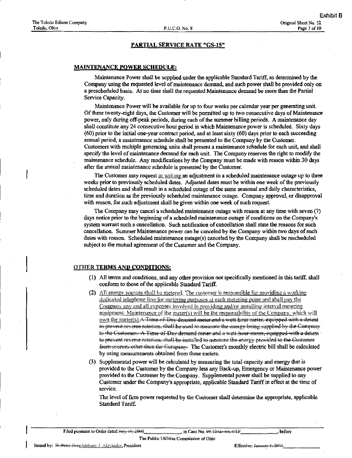#### MAINTENANCE POWER SCHEDULE:

Maintenance Power shall be supplied under the applicable Standard Tariff, as determined by the Company using the requested level of maintenance demand, and such power shall be provided only on a prescheduled basis. At no time shall the requested Maintenance demand be more than the Partial Service Capacity.

Mamtenance Power will be available for up to four weeks per calendar year per generating unit. Of these twenty-eight days, the Customer will be permitted up to two consecutive days of Maintenance power, only during off-peak periods, during each of the summer billing periods. A maintenance day shall constitute any 24 consecutive hour period in which Maintenance power is scheduled. Sixty days (60) prior to the initial one-year contract period, and at least sixty (60) days prior to each succeeding annual period, a maintenance schedule shall be presented to the Company by the Customer. Customers with multiple generating units shall present a maintenance schedule for each unit, and shall specify the level of maintenance demand for each unit. The Company reserves the right to modify the maintenance schedule. Any modifications by the Company must be made with reason within 30 days after the annual maintenance schedule is presented by the Customer.

The Customer may request in writing an adjustment in a scheduled maintenance outage up to three weeks prior to previously scheduled dates. Adjusted dates must be within one week of the previously scheduled dates and shall result in a scheduled outage of the same seasonal and daily characteristics, time and duration as the previously scheduled maintenance outage. Company approval, or disapproval with reason, for such adjustment shall be given within one week of such request.

The Company may cancel a scheduled maintenance outage with reason at any time with seven (7) days notice prior to die beginning of a scheduled maintenance outage if conditions on the Company's system warrant such a cancellation. Such notification of cancellation shall state the reasons for such cancellation. Summer Maintenance power can be canceled by the Company within two days of such dates with reason. Scheduled maintenance outage(s) canceled by the Company shall be rescheduled subject to the mutual agreement of the Customer and the Company.

### OTHER TERMS AND CONDITIONS:

- (1) All terms and conditions, and any other provision not specifically mentioned in this tariff, shall conform to those of the applicable Standard Tariff.
- (2) All energy sources shall be metered. The customer is responsible for providing a working dedicated telephone line for metering purposes at each metering point and shall pay the Company any and all expenses involved in providing and/or installing interval metering equipment. Maintenance of the meter(s) will be the responsibility of the Company, which will  $Q$ wn the meter(s). $A$  Time of Day demand meter and a wutt-hour meter, equipped with a detent to prevent reverse rotation, shall be used to measure the energy being supplied by the Company 10 the Customer. A Time of Day demand-meter and a watt-hour meter, equipped with a detent te prevent reverse rotation, shall be installed to measure the energy provided to the Customer from sources other thun the Company. The Customer's monthly electric bill shall be calculated by using measurements obtained from these meters.
- (3) Supplemental power will be calculated by measuring the total capacity and energy that is provided to the Customer by the Company less any Back-up, Emergency or Maintenance power provided to the Customer by the Company. Supplemental power shall be supplied to any Customer imder the Company's appropriate, applicable Standard Tariff in effect at the time of service.

The level of firm power requested by the Customer shall determine the appropriate, applicable Standard Tariff.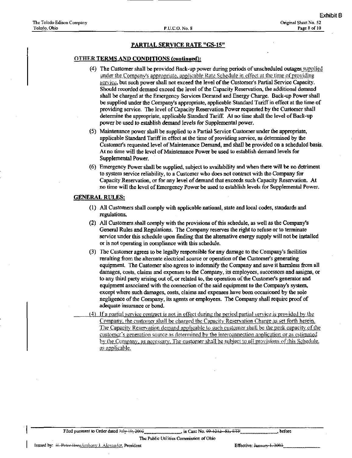#### OTHER TERMS AND CONDITIONS (continued):

- (4) The Customer shall be provided Back-up power during periods of unscheduled outages supplied under the Company's appropriate, applicable Rate Schedule in effect at the time of providing service, but such power shall not exceed the level of the Customer's Partial Service Capacity. Should recorded demand exceed the level of the Capacity Reservation, the additional demand shall be charged at the Emergency Services Demand and Energy Charge. Back-up Power shall be supplied under the Company's appropriate, applicable Standard Tariff in effect at the time of providing service. The level of Capacity Reservation Power requested by the Customer shall determine the appropriate, applicable Standard Tariff. At no time shall the level of Back-up power be used to establish demand levels for Supplemental power.
- (5) Maintenance power shall be supplied to a Partial Service Customer imder the appropriate, apphcable Standard Tariff in effect at the time of providing service, as determined by the Customer's requested level of Maintenance Demand, and shall be provided on a scheduled basis. At no time will the level of Maintenance Power be used to establish demand levels for Supplemental Power.
- (6) Emergency Power shall be supplied, subject to availability and when there will be no detriment to system service reliability, to a Customer who does not contract with the Company for Capacity Reservation, or for any level of demand that exceeds such Capacity Reservation. At no time will the level of Emergency Power be used to estabhsh levels for Supplemental Power.

### GENERAL RULES:

- (1) All Customers shall comply with applicable national, state and local codes, st^idards and regulations.
- (2) All Customers shall comply with the provisions of this schedule, as well as the Company's General Rules and Regulations. The Company reserves the right to refuse or to terminate service imder this schedule upon finding that the alternative energy supply will not be installed or is not operating in compliance with this schedule.
- (3) The Customer agrees to be legally responsible for any damage to the Company's facilities resulting from the altemate electrical source or operation of the Customer's generating equipment. The Customer also agrees to indemnify the Company and save it harmless from all damages, costs, claims and expenses to the Company, its employees, successors and assigns, or to any third party arising out of, or related to, the operation of the Customer's generator and equipment associated with the connection of the said equipment to the Company's system, except where such damages, costs, claims and expenses have been occasioned by the sole negligence of the Company, its agents or employees. The Company shall require proof of adequate insurance or bond.
- $(4)$  If a partial service contract is not in effect during the period partial service is provided by the Company, the custoiner shall be charged the Capacity Reservation Charge as set forth herein. The Capacity Reservation demand applicable to such customer shall be the peak capacity of the customer's generation source as determined by the interconnection application or as estimated by the Company, as necessary. The customer shall be subject to all provisions of this Schedule. as applicable.

I Filed pursuant to Order dated killy-10, 2006. **In Case No. 49-1212** , Eleito-W. M. Alefore, the fore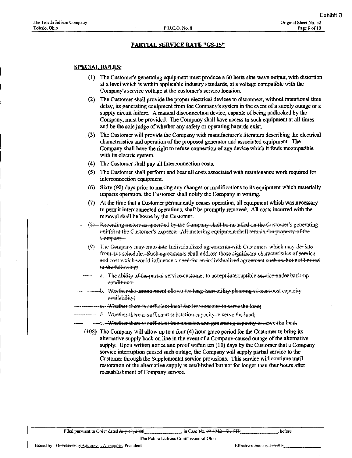### SPECIAL RULES:

- (1) The Customer's generating equipment must produce a 60 hertz sine wave output, with distortion at a level which is within applicable industry standards, at a voltage compatible with the Company's service voltage at the customer's service location.
- (2) The Customer shall provide the proper electrical devices to disconnect, without intentional time delay, its generating equipment from the Company's system in the event of a supply outage or a supply circuit failure. A manual disconnection device, capable of being padlocked by the Company, must be provided. The Company shall have access to such equipment at all times and be the sole judge of whether any safety or operating hazards exist
- The Customer will provide the Company with manufacturer's literature describing the electrical (3) characteristics and operation of the proposed generator and associated equipment. The Company shall have the right to refuse connection of any device which it finds incompatible with its electric system.
- (4) The Customer shall pay all Interconnection costs.
- The Customer shall perform and bear all costs associated with maintenance work required for (5) interconnection equipment.
- $(6)$  Sixty  $(60)$  days prior to making any changes or modifications to its equipment which materially impacts operation, the Customer shall notify the Company in writing.
- At the time that a Customer permanently ceases operation, all equipment which was necessary (7) to permit interconnected operations, shall be promptly removed. All costs incurred with the removal shall be borne by the Customer.
- ے بھا -Recording meters as specified by the Campany shall be installed on the Castomer's generating unit(s) at the Customer's expense. All metering equipment shall remain the property of the Gommany-
- $\frac{m}{\lambda}$  The Gempany may enter into Individualized agreements with Gustomers which may deviate from this schedule. Such agrooments shall address those significant characteristics of service and cost which would influence a need for an individualized agreement such as, but not limited to the following:
	- $_{\mathrm{th}}$  The ability-of the partial service-customer to accept interruptible service under back-up <del>eonditions:</del>
- $-b$ . Whether the arrangement allows for long term utility planning of least cost capacity availability:
- -e. Whether there is sufficient local facility espacity to serve the load;
- $d$ . Whether there is sufficient substation capacity to serve the load.
	- e. Whether there is sufficient transmission and generating capacity to serve the load.

The Public Utilities Commision of Ohio

 $(408)$  The Company will allow up to a four (4) hour grace period for the Customer to bring its alternative supply back on line in the event of a Company-caused outage of the alternative supply. Upon written notice and proof within ten (10) days by the Customer that a Company service interruption caused such outage, the Company will supply partial service to the Customer through the Supplemental service provisions. This service will continue until restoration of the alternative supply is established but not for longer than four hours after reestablishment of Company service.